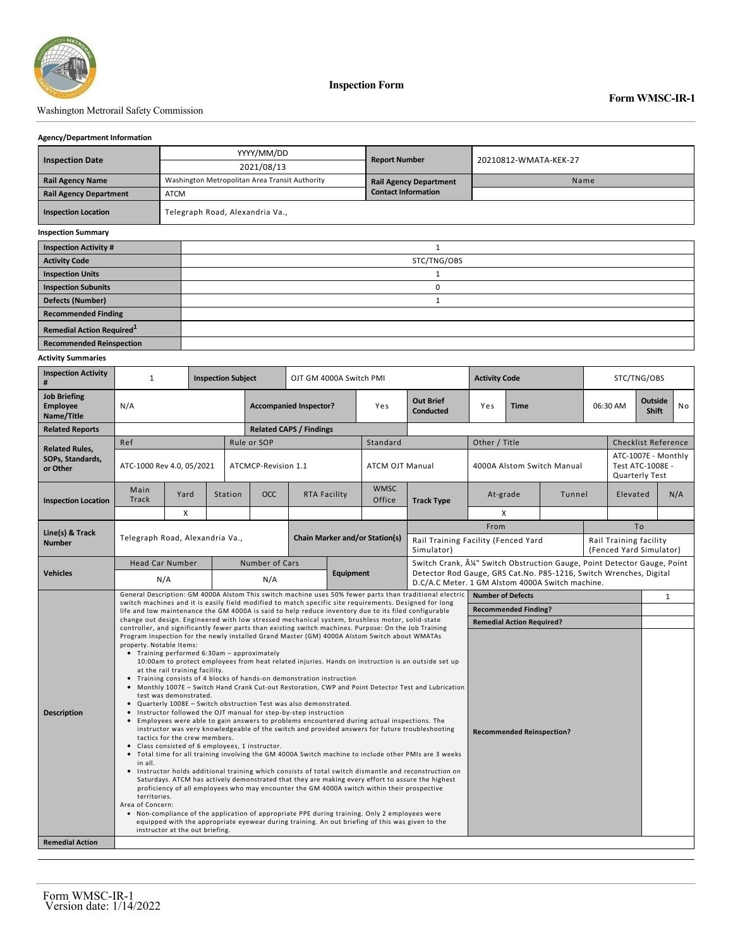

**Inspection Form**

## Washington Metrorail Safety Commission

### **Agency/Department Information**

|                                              |                                 | YYYY/MM/DD                                     | <b>Report Number</b>          |                       |  |  |  |  |  |
|----------------------------------------------|---------------------------------|------------------------------------------------|-------------------------------|-----------------------|--|--|--|--|--|
| <b>Inspection Date</b>                       |                                 | 2021/08/13                                     |                               | 20210812-WMATA-KEK-27 |  |  |  |  |  |
| <b>Rail Agency Name</b>                      |                                 | Washington Metropolitan Area Transit Authority | <b>Rail Agency Department</b> | Name                  |  |  |  |  |  |
| <b>Rail Agency Department</b><br><b>ATCM</b> |                                 |                                                | <b>Contact Information</b>    |                       |  |  |  |  |  |
| <b>Inspection Location</b>                   | Telegraph Road, Alexandria Va., |                                                |                               |                       |  |  |  |  |  |
| <b>Inspection Summary</b>                    |                                 |                                                |                               |                       |  |  |  |  |  |
| <b>Inspection Activity #</b>                 |                                 |                                                |                               |                       |  |  |  |  |  |
| <b>Activity Code</b>                         |                                 | STC/TNG/OBS                                    |                               |                       |  |  |  |  |  |
| <b>Inspection Units</b>                      |                                 |                                                |                               |                       |  |  |  |  |  |
| <b>Inspection Subunits</b>                   |                                 | 0                                              |                               |                       |  |  |  |  |  |
| <b>Defects (Number)</b>                      |                                 |                                                |                               |                       |  |  |  |  |  |
| <b>Recommended Finding</b>                   |                                 |                                                |                               |                       |  |  |  |  |  |
| Remedial Action Required <sup>1</sup>        |                                 |                                                |                               |                       |  |  |  |  |  |
| <b>Recommended Reinspection</b>              |                                 |                                                |                               |                       |  |  |  |  |  |

### **Activity Summaries**

| #                                                    | $\mathbf{1}$<br><b>Inspection Subject</b>                                                                                                                                                                                                                                                                                                                                                                                                                                                                                                                                                                                                                                                                                                                                                                                                                                                                                                                                                                                                                                                                                                                                                                                                                                                                                                                                                                                                                                                                                                                                                                                                                                                                     |      |                       | OJT GM 4000A Switch PMI          |                                       |                     |                        | <b>Activity Code</b>                                                                                                   |                            |                             | STC/TNG/OBS                                       |          |                                                           |     |                            |  |  |
|------------------------------------------------------|---------------------------------------------------------------------------------------------------------------------------------------------------------------------------------------------------------------------------------------------------------------------------------------------------------------------------------------------------------------------------------------------------------------------------------------------------------------------------------------------------------------------------------------------------------------------------------------------------------------------------------------------------------------------------------------------------------------------------------------------------------------------------------------------------------------------------------------------------------------------------------------------------------------------------------------------------------------------------------------------------------------------------------------------------------------------------------------------------------------------------------------------------------------------------------------------------------------------------------------------------------------------------------------------------------------------------------------------------------------------------------------------------------------------------------------------------------------------------------------------------------------------------------------------------------------------------------------------------------------------------------------------------------------------------------------------------------------|------|-----------------------|----------------------------------|---------------------------------------|---------------------|------------------------|------------------------------------------------------------------------------------------------------------------------|----------------------------|-----------------------------|---------------------------------------------------|----------|-----------------------------------------------------------|-----|----------------------------|--|--|
| <b>Job Briefing</b><br><b>Employee</b><br>Name/Title | N/A                                                                                                                                                                                                                                                                                                                                                                                                                                                                                                                                                                                                                                                                                                                                                                                                                                                                                                                                                                                                                                                                                                                                                                                                                                                                                                                                                                                                                                                                                                                                                                                                                                                                                                           |      |                       | <b>Accompanied Inspector?</b>    |                                       |                     | Yes                    | <b>Out Brief</b><br><b>Conducted</b>                                                                                   | Yes                        | <b>Time</b>                 |                                                   | 06:30 AM | Outside<br><b>Shift</b>                                   |     | <b>No</b>                  |  |  |
| <b>Related Reports</b>                               |                                                                                                                                                                                                                                                                                                                                                                                                                                                                                                                                                                                                                                                                                                                                                                                                                                                                                                                                                                                                                                                                                                                                                                                                                                                                                                                                                                                                                                                                                                                                                                                                                                                                                                               |      |                       |                                  | <b>Related CAPS / Findings</b>        |                     |                        |                                                                                                                        |                            |                             |                                                   |          |                                                           |     |                            |  |  |
| <b>Related Rules,</b>                                | Ref                                                                                                                                                                                                                                                                                                                                                                                                                                                                                                                                                                                                                                                                                                                                                                                                                                                                                                                                                                                                                                                                                                                                                                                                                                                                                                                                                                                                                                                                                                                                                                                                                                                                                                           |      |                       | Rule or SOP                      |                                       |                     | Standard               |                                                                                                                        | Other / Title              |                             |                                                   |          |                                                           |     | <b>Checklist Reference</b> |  |  |
| SOPs, Standards,<br>or Other                         | ATC-1000 Rev 4.0, 05/2021                                                                                                                                                                                                                                                                                                                                                                                                                                                                                                                                                                                                                                                                                                                                                                                                                                                                                                                                                                                                                                                                                                                                                                                                                                                                                                                                                                                                                                                                                                                                                                                                                                                                                     |      |                       | ATCMCP-Revision 1.1              |                                       |                     | <b>ATCM OJT Manual</b> |                                                                                                                        | 4000A Alstom Switch Manual |                             |                                                   |          | ATC-1007E - Monthly<br>Test ATC-1008E -<br>Quarterly Test |     |                            |  |  |
| <b>Inspection Location</b>                           | Main<br><b>Track</b>                                                                                                                                                                                                                                                                                                                                                                                                                                                                                                                                                                                                                                                                                                                                                                                                                                                                                                                                                                                                                                                                                                                                                                                                                                                                                                                                                                                                                                                                                                                                                                                                                                                                                          | Yard | Station               | <b>OCC</b>                       |                                       | <b>RTA Facility</b> | <b>WMSC</b><br>Office  | <b>Track Type</b>                                                                                                      | At-grade<br>Tunnel         |                             |                                                   | Elevated |                                                           | N/A |                            |  |  |
|                                                      |                                                                                                                                                                                                                                                                                                                                                                                                                                                                                                                                                                                                                                                                                                                                                                                                                                                                                                                                                                                                                                                                                                                                                                                                                                                                                                                                                                                                                                                                                                                                                                                                                                                                                                               | X    |                       |                                  |                                       |                     |                        |                                                                                                                        |                            | X                           |                                                   |          |                                                           |     |                            |  |  |
| Line(s) & Track                                      | Telegraph Road, Alexandria Va.,                                                                                                                                                                                                                                                                                                                                                                                                                                                                                                                                                                                                                                                                                                                                                                                                                                                                                                                                                                                                                                                                                                                                                                                                                                                                                                                                                                                                                                                                                                                                                                                                                                                                               |      |                       |                                  |                                       |                     |                        |                                                                                                                        | From                       |                             | To                                                |          |                                                           |     |                            |  |  |
| <b>Number</b>                                        |                                                                                                                                                                                                                                                                                                                                                                                                                                                                                                                                                                                                                                                                                                                                                                                                                                                                                                                                                                                                                                                                                                                                                                                                                                                                                                                                                                                                                                                                                                                                                                                                                                                                                                               |      |                       |                                  | <b>Chain Marker and/or Station(s)</b> |                     | Simulator)             | Rail Training Facility (Fenced Yard                                                                                    |                            |                             | Rail Training facility<br>(Fenced Yard Simulator) |          |                                                           |     |                            |  |  |
| <b>Vehicles</b>                                      | <b>Head Car Number</b>                                                                                                                                                                                                                                                                                                                                                                                                                                                                                                                                                                                                                                                                                                                                                                                                                                                                                                                                                                                                                                                                                                                                                                                                                                                                                                                                                                                                                                                                                                                                                                                                                                                                                        |      | <b>Number of Cars</b> |                                  |                                       |                     |                        | Switch Crank, ¼" Switch Obstruction Gauge, Point Detector Gauge, Point                                                 |                            |                             |                                                   |          |                                                           |     |                            |  |  |
|                                                      | N/A                                                                                                                                                                                                                                                                                                                                                                                                                                                                                                                                                                                                                                                                                                                                                                                                                                                                                                                                                                                                                                                                                                                                                                                                                                                                                                                                                                                                                                                                                                                                                                                                                                                                                                           |      | N/A                   |                                  | Equipment                             |                     |                        | Detector Rod Gauge, GRS Cat.No. P85-1216, Switch Wrenches, Digital<br>D.C/A.C Meter. 1 GM Alstom 4000A Switch machine. |                            |                             |                                                   |          |                                                           |     |                            |  |  |
|                                                      | General Description: GM 4000A Alstom This switch machine uses 50% fewer parts than traditional electric<br>switch machines and it is easily field modified to match specific site requirements. Designed for long<br>life and low maintenance the GM 4000A is said to help reduce inventory due to its filed configurable                                                                                                                                                                                                                                                                                                                                                                                                                                                                                                                                                                                                                                                                                                                                                                                                                                                                                                                                                                                                                                                                                                                                                                                                                                                                                                                                                                                     |      |                       |                                  |                                       |                     |                        |                                                                                                                        |                            | <b>Number of Defects</b>    |                                                   |          |                                                           |     |                            |  |  |
|                                                      |                                                                                                                                                                                                                                                                                                                                                                                                                                                                                                                                                                                                                                                                                                                                                                                                                                                                                                                                                                                                                                                                                                                                                                                                                                                                                                                                                                                                                                                                                                                                                                                                                                                                                                               |      |                       |                                  |                                       |                     |                        |                                                                                                                        |                            | <b>Recommended Finding?</b> |                                                   |          |                                                           |     |                            |  |  |
|                                                      | change out design. Engineered with low stressed mechanical system, brushless motor, solid-state<br>controller, and significantly fewer parts than existing switch machines. Purpose: On the Job Training                                                                                                                                                                                                                                                                                                                                                                                                                                                                                                                                                                                                                                                                                                                                                                                                                                                                                                                                                                                                                                                                                                                                                                                                                                                                                                                                                                                                                                                                                                      |      |                       | <b>Remedial Action Required?</b> |                                       |                     |                        |                                                                                                                        |                            |                             |                                                   |          |                                                           |     |                            |  |  |
| <b>Description</b>                                   | Program Inspection for the newly installed Grand Master (GM) 4000A Alstom Switch about WMATAs<br>property. Notable Items:<br>• Training performed 6:30am - approximately<br>10:00am to protect employees from heat related injuries. Hands on instruction is an outside set up<br>at the rail training facility.<br>• Training consists of 4 blocks of hands-on demonstration instruction<br>• Monthly 1007E - Switch Hand Crank Cut-out Restoration, CWP and Point Detector Test and Lubrication<br>test was demonstrated.<br>. Quarterly 1008E - Switch obstruction Test was also demonstrated.<br>• Instructor followed the OJT manual for step-by-step instruction<br>• Employees were able to gain answers to problems encountered during actual inspections. The<br>instructor was very knowledgeable of the switch and provided answers for future troubleshooting<br><b>Recommended Reinspection?</b><br>tactics for the crew members.<br>• Class consisted of 6 employees, 1 instructor.<br>• Total time for all training involving the GM 4000A Switch machine to include other PMIs are 3 weeks<br>in all.<br>• Instructor holds additional training which consists of total switch dismantle and reconstruction on<br>Saturdays. ATCM has actively demonstrated that they are making every effort to assure the highest<br>proficiency of all employees who may encounter the GM 4000A switch within their prospective<br>territories.<br>Area of Concern:<br>• Non-compliance of the application of appropriate PPE during training. Only 2 employees were<br>equipped with the appropriate eyewear during training. An out briefing of this was given to the<br>instructor at the out briefing. |      |                       |                                  |                                       |                     |                        |                                                                                                                        |                            |                             |                                                   |          |                                                           |     |                            |  |  |